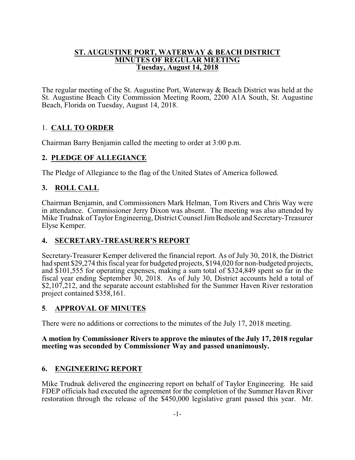#### **ST. AUGUSTINE PORT, WATERWAY & BEACH DISTRICT MINUTES OF REGULAR MEETING Tuesday, August 14, 2018**

The regular meeting of the St. Augustine Port, Waterway & Beach District was held at the St. Augustine Beach City Commission Meeting Room, 2200 A1A South, St. Augustine Beach, Florida on Tuesday, August 14, 2018.

# 1. **CALL TO ORDER**

Chairman Barry Benjamin called the meeting to order at 3:00 p.m.

# **2. PLEDGE OF ALLEGIANCE**

The Pledge of Allegiance to the flag of the United States of America followed.

# **3. ROLL CALL**

Chairman Benjamin, and Commissioners Mark Helman, Tom Rivers and Chris Way were in attendance. Commissioner Jerry Dixon was absent. The meeting was also attended by Mike Trudnak of Taylor Engineering, District Counsel Jim Bedsole and Secretary-Treasurer Elyse Kemper.

# **4. SECRETARY-TREASURER'S REPORT**

Secretary-Treasurer Kemper delivered the financial report. As of July 30, 2018, the District had spent \$29,274 this fiscal year for budgeted projects, \$194,020 for non-budgeted projects, and \$101,555 for operating expenses, making a sum total of \$324,849 spent so far in the fiscal year ending September 30, 2018. As of July 30, District accounts held a total of \$2,107,212, and the separate account established for the Summer Haven River restoration project contained \$358,161.

## **5**. **APPROVAL OF MINUTES**

There were no additions or corrections to the minutes of the July 17, 2018 meeting.

#### **A motion by Commissioner Rivers to approve the minutes of the July 17, 2018 regular meeting was seconded by Commissioner Way and passed unanimously.**

## **6. ENGINEERING REPORT**

Mike Trudnak delivered the engineering report on behalf of Taylor Engineering. He said FDEP officials had executed the agreement for the completion of the Summer Haven River restoration through the release of the \$450,000 legislative grant passed this year. Mr.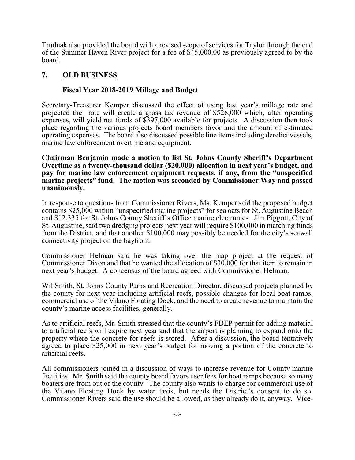Trudnak also provided the board with a revised scope of services for Taylor through the end of the Summer Haven River project for a fee of \$45,000.00 as previously agreed to by the board.

#### **7. OLD BUSINESS**

#### **Fiscal Year 2018-2019 Millage and Budget**

Secretary-Treasurer Kemper discussed the effect of using last year's millage rate and projected the rate will create a gross tax revenue of \$526,000 which, after operating expenses, will yield net funds of \$397,000 available for projects. A discussion then took place regarding the various projects board members favor and the amount of estimated operating expenses. The board also discussed possible line itemsincluding derelict vessels, marine law enforcement overtime and equipment.

**Chairman Benjamin made a motion to list St. Johns County Sheriff's Department Overtime as a twenty-thousand dollar (\$20,000) allocation in next year's budget, and pay for marine law enforcement equipment requests, if any, from the "unspecified marine projects" fund. The motion was seconded by Commissioner Way and passed unanimously.**

In response to questions from Commissioner Rivers, Ms. Kemper said the proposed budget contains \$25,000 within "unspecified marine projects" for sea oats for St. Augustine Beach and \$12,335 for St. Johns County Sheriff's Office marine electronics. Jim Piggott, City of St. Augustine, said two dredging projects next year will require \$100,000 in matching funds from the District, and that another \$100,000 may possibly be needed for the city's seawall connectivity project on the bayfront.

Commissioner Helman said he was taking over the map project at the request of Commissioner Dixon and that he wanted the allocation of \$30,000 for that item to remain in next year's budget. A concensus of the board agreed with Commissioner Helman.

Wil Smith, St. Johns County Parks and Recreation Director, discussed projects planned by the county for next year including artificial reefs, possible changes for local boat ramps, commercial use of the Vilano Floating Dock, and the need to create revenue to maintain the county's marine access facilities, generally.

As to artificial reefs, Mr. Smith stressed that the county's FDEP permit for adding material to artificial reefs will expire next year and that the airport is planning to expand onto the property where the concrete for reefs is stored. After a discussion, the board tentatively agreed to place \$25,000 in next year's budget for moving a portion of the concrete to artificial reefs.

All commissioners joined in a discussion of ways to increase revenue for County marine facilities. Mr. Smith said the county board favors user fees for boat ramps because so many boaters are from out of the county. The county also wants to charge for commercial use of the Vilano Floating Dock by water taxis, but needs the District's consent to do so. Commissioner Rivers said the use should be allowed, as they already do it, anyway. Vice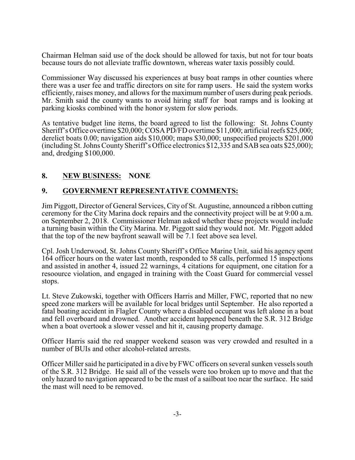Chairman Helman said use of the dock should be allowed for taxis, but not for tour boats because tours do not alleviate traffic downtown, whereas water taxis possibly could.

Commissioner Way discussed his experiences at busy boat ramps in other counties where there was a user fee and traffic directors on site for ramp users. He said the system works efficiently, raises money, and allows for the maximum number of users during peak periods. Mr. Smith said the county wants to avoid hiring staff for boat ramps and is looking at parking kiosks combined with the honor system for slow periods.

As tentative budget line items, the board agreed to list the following: St. Johns County Sheriff's Office overtime \$20,000; COSA PD/FD overtime \$11,000; artificial reefs \$25,000; derelict boats 0.00; navigation aids \$10,000; maps \$30,000; unspecified projects \$201,000 (including St. Johns CountySheriff's Office electronics \$12,335 and SAB sea oats \$25,000); and, dredging \$100,000.

## **8. NEW BUSINESS: NONE**

# **9. GOVERNMENT REPRESENTATIVE COMMENTS:**

Jim Piggott, Director of General Services, City of St. Augustine, announced a ribbon cutting ceremony for the City Marina dock repairs and the connectivity project will be at 9:00 a.m. on September 2, 2018. Commissioner Helman asked whether these projects would include a turning basin within the City Marina. Mr. Piggott said they would not. Mr. Piggott added that the top of the new bayfront seawall will be 7.1 feet above sea level.

Cpl. Josh Underwood, St. Johns County Sheriff's Office Marine Unit, said his agency spent 164 officer hours on the water last month, responded to 58 calls, performed 15 inspections and assisted in another 4, issued 22 warnings, 4 citations for equipment, one citation for a resoource violation, and engaged in training with the Coast Guard for commercial vessel stops.

Lt. Steve Zukowski, together with Officers Harris and Miller, FWC, reported that no new speed zone markers will be available for local bridges until September. He also reported a fatal boating accident in Flagler County where a disabled occupant was left alone in a boat and fell overboard and drowned. Another accident happened beneath the S.R. 312 Bridge when a boat overtook a slower vessel and hit it, causing property damage.

Officer Harris said the red snapper weekend season was very crowded and resulted in a number of BUIs and other alcohol-related arrests.

Officer Miller said he participated in a dive byFWC officers on several sunken vessels south of the S.R. 312 Bridge. He said all of the vessels were too broken up to move and that the only hazard to navigation appeared to be the mast of a sailboat too near the surface. He said the mast will need to be removed.